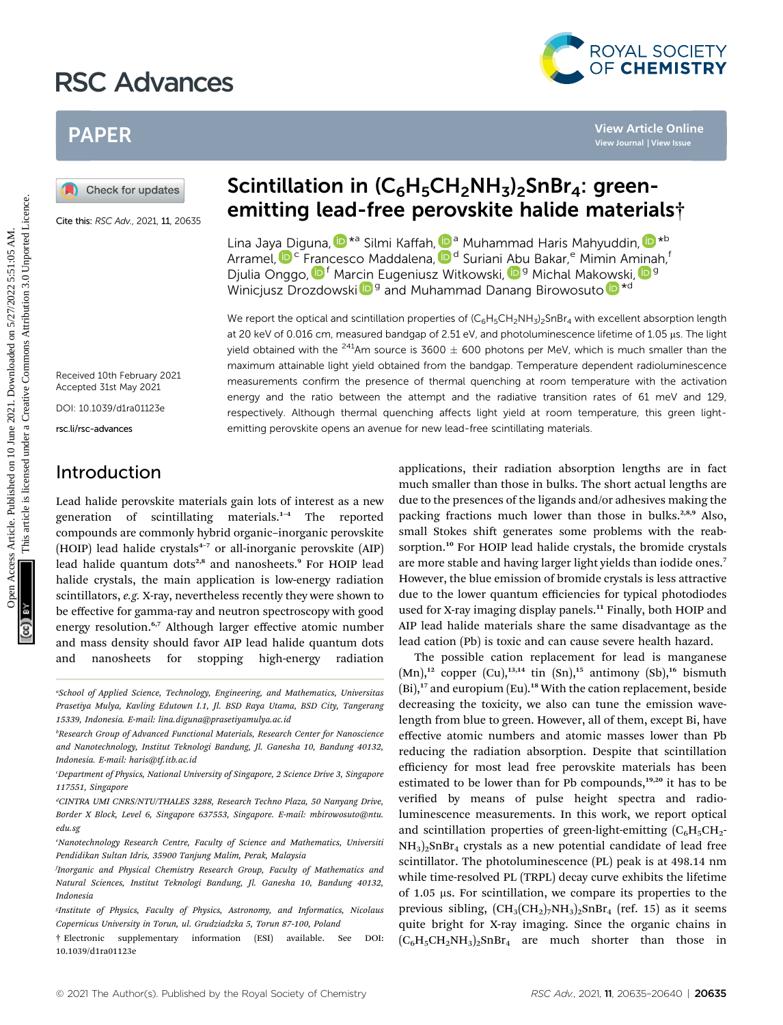# RSC Advances



## PAPER

Cite this: RSC Adv., 2021, 11, 20635

### Scintillation in  $(C_6H_5CH_2NH_3)_2$ SnBr<sub>4</sub>: greenemitting lead-free perovskite halide materials†

Lin[a](http://orcid.org/0000-0003-4125-6099) Jaya [D](http://orcid.org/0000-0003-4125-6099)iguna[,](http://orcid.org/0000-0002-8017-7847)  $\mathbf{D}^*$ a Silmi Kaffah,  $\mathbf{D}^*$  Muhammad Haris Mahyuddin,  $\mathbf{D}^*$ b Arramel,  $\mathbf{D}^{\mathsf{c}}$  Francesco Maddalena,  $\mathbf{D}^{\mathsf{d}}$  Suriani Abu Bakar,<sup>e</sup> Mi[min](http://orcid.org/0000-0001-7758-2326) Aminah, Djulia Onggo[,](http://orcid.org/0000-0001-6282-8610) <sup>f</sup> Mar[cin](http://orcid.org/0000-0002-6207-4801) Eugeniusz Witkowski, <sup>Dg</sup> Michal Makowski, D<sup>g</sup> Winicjusz Dr[o](http://orcid.org/0000-0002-9997-6841)zdowski $\mathbf{D}^{\mathsf{g}}$  and Muhammad Danang Birowosuto  $\mathbf{D}^{\ast d}$ 

We report the optical and scintillation properties of  $(C_6H_5CH_2NH_3)_2$ SnBr<sub>4</sub> with excellent absorption length at 20 keV of 0.016 cm, measured bandgap of 2.51 eV, and photoluminescence lifetime of 1.05 µs. The light yield obtained with the <sup>241</sup>Am source is 3600  $\pm$  600 photons per MeV, which is much smaller than the maximum attainable light yield obtained from the bandgap. Temperature dependent radioluminescence measurements confirm the presence of thermal quenching at room temperature with the activation energy and the ratio between the attempt and the radiative transition rates of 61 meV and 129, respectively. Although thermal quenching affects light yield at room temperature, this green lightemitting perovskite opens an avenue for new lead-free scintillating materials. **PAPER**<br> **Consect for updates**<br>
Consect for the second and the second and the second and the second and the second and the second and the second and the second and the second and the second and the second and the second a

Received 10th February 2021 Accepted 31st May 2021

DOI: 10.1039/d1ra01123e

rsc.li/rsc-advances

### Introduction

Lead halide perovskite materials gain lots of interest as a new generation of scintillating materials.<sup>1</sup>–<sup>4</sup> The reported compounds are commonly hybrid organic–inorganic perovskite (HOIP) lead halide crystals $4-7$  or all-inorganic perovskite (AIP) lead halide quantum dots<sup>2,8</sup> and nanosheets.<sup>9</sup> For HOIP lead halide crystals, the main application is low-energy radiation scintillators, e.g. X-ray, nevertheless recently they were shown to be effective for gamma-ray and neutron spectroscopy with good energy resolution.<sup>6,7</sup> Although larger effective atomic number and mass density should favor AIP lead halide quantum dots and nanosheets for stopping high-energy radiation

applications, their radiation absorption lengths are in fact much smaller than those in bulks. The short actual lengths are due to the presences of the ligands and/or adhesives making the packing fractions much lower than those in bulks.<sup>2,8,9</sup> Also, small Stokes shift generates some problems with the reabsorption.<sup>10</sup> For HOIP lead halide crystals, the bromide crystals are more stable and having larger light yields than iodide ones.<sup>7</sup> However, the blue emission of bromide crystals is less attractive due to the lower quantum efficiencies for typical photodiodes used for X-ray imaging display panels.<sup>11</sup> Finally, both HOIP and AIP lead halide materials share the same disadvantage as the lead cation (Pb) is toxic and can cause severe health hazard.

The possible cation replacement for lead is manganese  $(Mn)$ ,<sup>12</sup> copper  $(Cu)$ ,<sup>13,14</sup> tin  $(Sn)$ ,<sup>15</sup> antimony  $(Sb)$ ,<sup>16</sup> bismuth  $(Bi)$ ,<sup>17</sup> and europium  $(Eu)$ .<sup>18</sup> With the cation replacement, beside decreasing the toxicity, we also can tune the emission wavelength from blue to green. However, all of them, except Bi, have effective atomic numbers and atomic masses lower than Pb reducing the radiation absorption. Despite that scintillation efficiency for most lead free perovskite materials has been estimated to be lower than for Pb compounds, $19,20$  it has to be verified by means of pulse height spectra and radioluminescence measurements. In this work, we report optical and scintillation properties of green-light-emitting  $(C_6H_5CH_2^-)$  $NH<sub>3</sub>)<sub>2</sub>SnBr<sub>4</sub> crystals as a new potential candidate of lead free$ scintillator. The photoluminescence (PL) peak is at 498.14 nm while time-resolved PL (TRPL) decay curve exhibits the lifetime of 1.05 ms. For scintillation, we compare its properties to the previous sibling,  $(CH_3(CH_2)_7NH_3)_2SnBr_4$  (ref. 15) as it seems quite bright for X-ray imaging. Since the organic chains in  $(C_6H_5CH_2NH_3)_2SnBr_4$  are much shorter than those in

a School of Applied Science, Technology, Engineering, and Mathematics, Universitas Prasetiya Mulya, Kavling Edutown I.1, Jl. BSD Raya Utama, BSD City, Tangerang 15339, Indonesia. E-mail: lina.diguna@prasetiyamulya.ac.id

b Research Group of Advanced Functional Materials, Research Center for Nanoscience and Nanotechnology, Institut Teknologi Bandung, Jl. Ganesha 10, Bandung 40132, Indonesia. E-mail: haris@tf.itb.ac.id

c Department of Physics, National University of Singapore, 2 Science Drive 3, Singapore 117551, Singapore

<sup>&</sup>lt;sup>d</sup>CINTRA UMI CNRS/NTU/THALES 3288, Research Techno Plaza, 50 Nanyang Drive, Border X Block, Level 6, Singapore 637553, Singapore. E-mail: mbirowosuto@ntu. edu.sg

e Nanotechnology Research Centre, Faculty of Science and Mathematics, Universiti Pendidikan Sultan Idris, 35900 Tanjung Malim, Perak, Malaysia

f Inorganic and Physical Chemistry Research Group, Faculty of Mathematics and Natural Sciences, Institut Teknologi Bandung, Jl. Ganesha 10, Bandung 40132, Indonesia

Institute of Physics, Faculty of Physics, Astronomy, and Informatics, Nicolaus Copernicus University in Torun, ul. Grudziadzka 5, Torun 87-100, Poland

<sup>†</sup> Electronic supplementary information (ESI) available. See DOI: 10.1039/d1ra01123e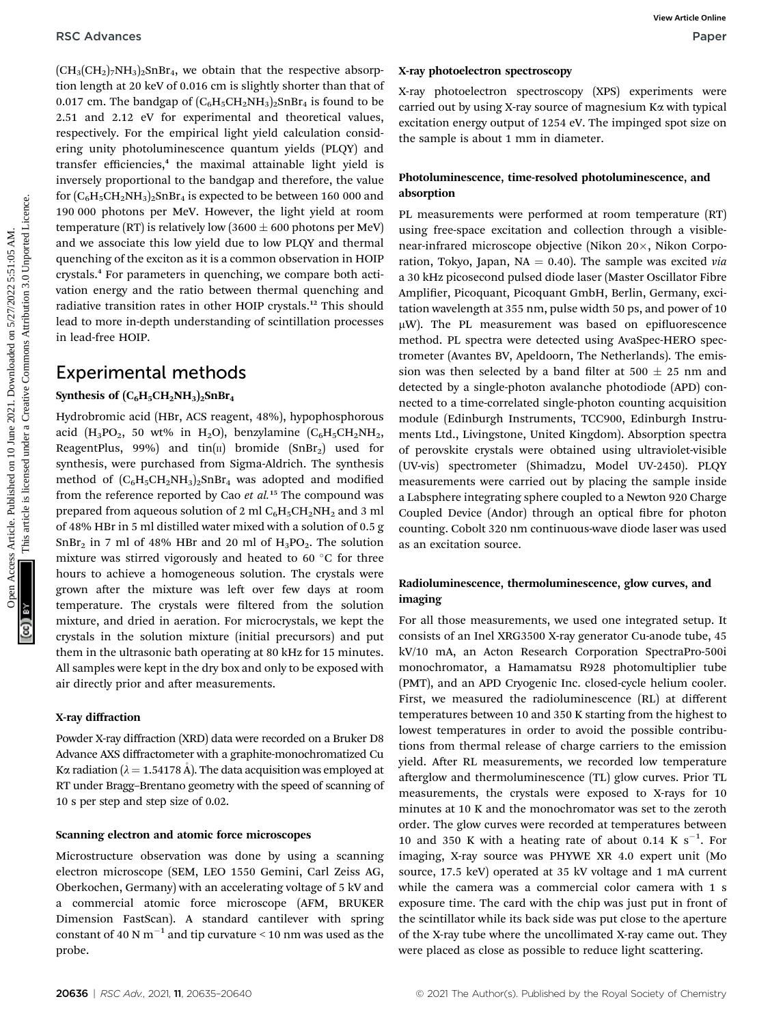$(CH_3(CH_2)_7NH_3)_2SnBr_4$ , we obtain that the respective absorption length at 20 keV of 0.016 cm is slightly shorter than that of 0.017 cm. The bandgap of  $(C_6H_5CH_2NH_3)_2SnBr_4$  is found to be 2.51 and 2.12 eV for experimental and theoretical values, respectively. For the empirical light yield calculation considering unity photoluminescence quantum yields (PLQY) and transfer efficiencies,<sup>4</sup> the maximal attainable light yield is inversely proportional to the bandgap and therefore, the value for  $(C_6H_5CH_2NH_3)_2SnBr_4$  is expected to be between 160 000 and 190 000 photons per MeV. However, the light yield at room temperature (RT) is relatively low (3600  $\pm$  600 photons per MeV) and we associate this low yield due to low PLQY and thermal quenching of the exciton as it is a common observation in HOIP crystals.<sup>4</sup> For parameters in quenching, we compare both activation energy and the ratio between thermal quenching and radiative transition rates in other HOIP crystals.<sup>12</sup> This should lead to more in-depth understanding of scintillation processes in lead-free HOIP.

### Experimental methods

#### Synthesis of  $(C_6H_5CH_2NH_3)_2SnBr_4$

Hydrobromic acid (HBr, ACS reagent, 48%), hypophosphorous acid  $(H_3PO_2, 50 wt\% \text{ in } H_2O)$ , benzylamine  $(C_6H_5CH_2NH_2,$ ReagentPlus, 99%) and  $tin(n)$  bromide (SnBr<sub>2</sub>) used for synthesis, were purchased from Sigma-Aldrich. The synthesis method of  $(C_6H_5CH_2NH_3)_2SnBr_4$  was adopted and modified from the reference reported by Cao et  $al$ .<sup>15</sup> The compound was prepared from aqueous solution of 2 ml  $C_6H_5CH_2NH_2$  and 3 ml of 48% HBr in 5 ml distilled water mixed with a solution of 0.5 g  $SnBr<sub>2</sub>$  in 7 ml of 48% HBr and 20 ml of  $H<sub>3</sub>PO<sub>2</sub>$ . The solution mixture was stirred vigorously and heated to 60 $\degree$ C for three hours to achieve a homogeneous solution. The crystals were grown after the mixture was left over few days at room temperature. The crystals were filtered from the solution mixture, and dried in aeration. For microcrystals, we kept the crystals in the solution mixture (initial precursors) and put them in the ultrasonic bath operating at 80 kHz for 15 minutes. All samples were kept in the dry box and only to be exposed with air directly prior and after measurements.

#### X-ray diffraction

Powder X-ray diffraction (XRD) data were recorded on a Bruker D8 Advance AXS diffractometer with a graphite-monochromatized Cu K $\alpha$  radiation ( $\lambda = 1.54178$  Å). The data acquisition was employed at RT under Bragg–Brentano geometry with the speed of scanning of 10 s per step and step size of 0.02.

#### Scanning electron and atomic force microscopes

Microstructure observation was done by using a scanning electron microscope (SEM, LEO 1550 Gemini, Carl Zeiss AG, Oberkochen, Germany) with an accelerating voltage of 5 kV and a commercial atomic force microscope (AFM, BRUKER Dimension FastScan). A standard cantilever with spring constant of 40 N  $\text{m}^{-1}$  and tip curvature < 10 nm was used as the probe.

X-ray photoelectron spectroscopy (XPS) experiments were carried out by using X-ray source of magnesium Ka with typical excitation energy output of 1254 eV. The impinged spot size on the sample is about 1 mm in diameter.

### Photoluminescence, time-resolved photoluminescence, and absorption

PL measurements were performed at room temperature (RT) using free-space excitation and collection through a visiblenear-infrared microscope objective (Nikon  $20\times$ , Nikon Corporation, Tokyo, Japan, NA = 0.40). The sample was excited via a 30 kHz picosecond pulsed diode laser (Master Oscillator Fibre Amplifier, Picoquant, Picoquant GmbH, Berlin, Germany, excitation wavelength at 355 nm, pulse width 50 ps, and power of 10  $\mu$ W). The PL measurement was based on epifluorescence method. PL spectra were detected using AvaSpec-HERO spectrometer (Avantes BV, Apeldoorn, The Netherlands). The emission was then selected by a band filter at 500  $\pm$  25 nm and detected by a single-photon avalanche photodiode (APD) connected to a time-correlated single-photon counting acquisition module (Edinburgh Instruments, TCC900, Edinburgh Instruments Ltd., Livingstone, United Kingdom). Absorption spectra of perovskite crystals were obtained using ultraviolet-visible (UV-vis) spectrometer (Shimadzu, Model UV-2450). PLQY measurements were carried out by placing the sample inside a Labsphere integrating sphere coupled to a Newton 920 Charge Coupled Device (Andor) through an optical fibre for photon counting. Cobolt 320 nm continuous-wave diode laser was used as an excitation source. **PSC** Articles. Articles Articles Articles Articles Articles Articles Articles Articles Articles Articles Articles Articles Articles Articles Articles Articles Articles Articles Articles Articles Articles Articles Article

### Radioluminescence, thermoluminescence, glow curves, and imaging

For all those measurements, we used one integrated setup. It consists of an Inel XRG3500 X-ray generator Cu-anode tube, 45 kV/10 mA, an Acton Research Corporation SpectraPro-500i monochromator, a Hamamatsu R928 photomultiplier tube (PMT), and an APD Cryogenic Inc. closed-cycle helium cooler. First, we measured the radioluminescence (RL) at different temperatures between 10 and 350 K starting from the highest to lowest temperatures in order to avoid the possible contributions from thermal release of charge carriers to the emission yield. After RL measurements, we recorded low temperature afterglow and thermoluminescence (TL) glow curves. Prior TL measurements, the crystals were exposed to X-rays for 10 minutes at 10 K and the monochromator was set to the zeroth order. The glow curves were recorded at temperatures between 10 and 350 K with a heating rate of about 0.14 K  $s^{-1}$ . For imaging, X-ray source was PHYWE XR 4.0 expert unit (Mo source, 17.5 keV) operated at 35 kV voltage and 1 mA current while the camera was a commercial color camera with 1 s exposure time. The card with the chip was just put in front of the scintillator while its back side was put close to the aperture of the X-ray tube where the uncollimated X-ray came out. They were placed as close as possible to reduce light scattering.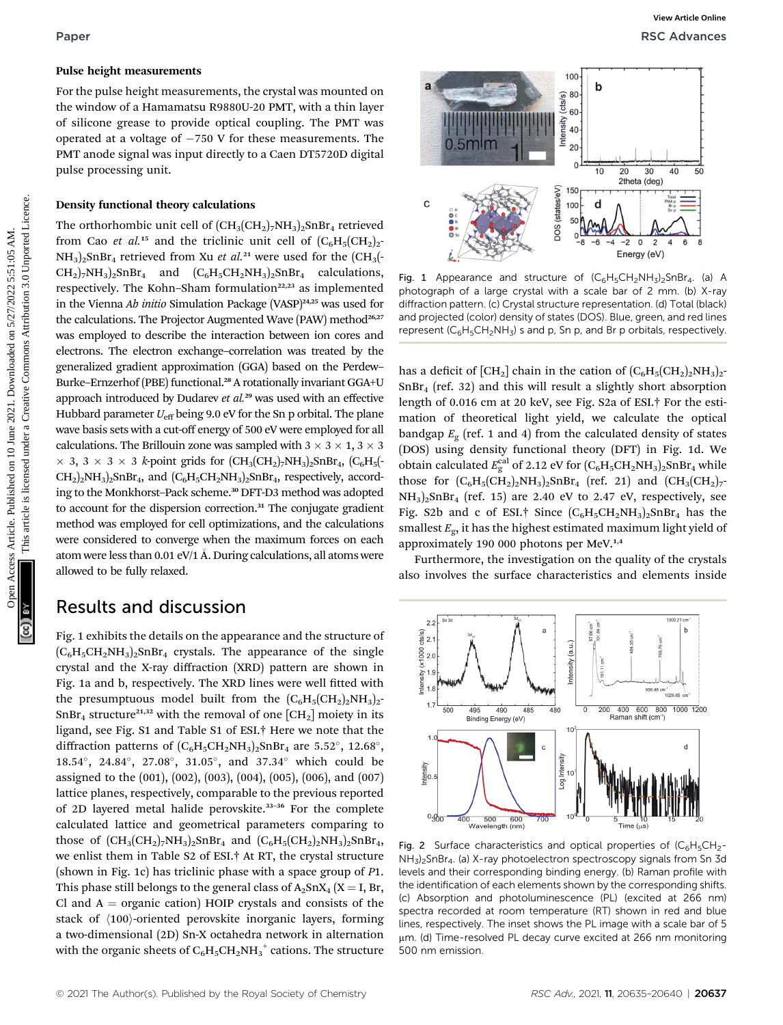#### Pulse height measurements

For the pulse height measurements, the crystal was mounted on the window of a Hamamatsu R9880U-20 PMT, with a thin layer of silicone grease to provide optical coupling. The PMT was operated at a voltage of  $-750$  V for these measurements. The PMT anode signal was input directly to a Caen DT5720D digital pulse processing unit.

#### Density functional theory calculations

The orthorhombic unit cell of  $(CH_3(CH_2)_7NH_3)_2SnBr_4$  retrieved from Cao et al.<sup>15</sup> and the triclinic unit cell of  $(C_6H_5(CH_2)_2$ - $NH<sub>3</sub>)<sub>2</sub>SnBr<sub>4</sub>$  retrieved from Xu *et al.*<sup>21</sup> were used for the  $CH<sub>3</sub>( CH_2$ <sub>7</sub>NH<sub>3</sub>)<sub>2</sub>SnBr<sub>4</sub> and  $(C_6H_5CH_2NH_3)_2$ SnBr<sub>4</sub> calculations, respectively. The Kohn-Sham formulation<sup>22,23</sup> as implemented in the Vienna Ab initio Simulation Package (VASP) $^{24,25}$  was used for the calculations. The Projector Augmented Wave (PAW) method<sup>26,27</sup> was employed to describe the interaction between ion cores and electrons. The electron exchange–correlation was treated by the generalized gradient approximation (GGA) based on the Perdew– Burke–Ernzerhof (PBE) functional.<sup>28</sup> A rotationally invariant GGA+U approach introduced by Dudarev et  $al.^{29}$  was used with an effective Hubbard parameter  $U_{\text{eff}}$  being 9.0 eV for the Sn p orbital. The plane wave basis sets with a cut-off energy of 500 eV were employed for all calculations. The Brillouin zone was sampled with  $3 \times 3 \times 1$ ,  $3 \times 3$  3, 3 3 3 k-point grids for (CH3(CH2)7NH3)2SnBr4, (C6H5(-  $CH_2$ <sub>2</sub>NH<sub>3</sub>)<sub>2</sub>SnBr<sub>4</sub>, and  $(C_6H_5CH_2NH_3)_2$ SnBr<sub>4</sub>, respectively, according to the Monkhorst-Pack scheme.<sup>30</sup> DFT-D3 method was adopted to account for the dispersion correction.<sup>31</sup> The conjugate gradient method was employed for cell optimizations, and the calculations were considered to converge when the maximum forces on each atom were less than  $0.01 \text{ eV}/1$  Å. During calculations, all atoms were allowed to be fully relaxed. **Paper**<br>
For the published on the constrained on the constrained on the common access to provide operated a schange of  $-750$  V for these measurements. The<br>
operated at a voltage of  $-750$  V for these measurements. The<br>
o

### Results and discussion

Fig. 1 exhibits the details on the appearance and the structure of  $(C_6H_5CH_2NH_3)_2SnBr_4$  crystals. The appearance of the single crystal and the X-ray diffraction (XRD) pattern are shown in Fig. 1a and b, respectively. The XRD lines were well fitted with the presumptuous model built from the  $(C_6H_5(CH_2)_2NH_3)_2$ - $SnBr<sub>4</sub> structure<sup>21,32</sup>$  with the removal of one  $[CH<sub>2</sub>]$  moiety in its ligand, see Fig. S1 and Table S1 of ESI.† Here we note that the diffraction patterns of  $(C_6H_5CH_2NH_3)_2SnBr_4$  are 5.52°, 12.68°, 18.54°, 24.84°, 27.08°, 31.05°, and 37.34° which could be assigned to the (001), (002), (003), (004), (005), (006), and (007) lattice planes, respectively, comparable to the previous reported of 2D layered metal halide perovskite.<sup>33</sup>–<sup>36</sup> For the complete calculated lattice and geometrical parameters comparing to those of  $(CH_3(CH_2)_7NH_3)_2SnBr_4$  and  $(C_6H_5(CH_2)_2NH_3)_2SnBr_4$ , we enlist them in Table S2 of ESI.† At RT, the crystal structure (shown in Fig. 1c) has triclinic phase with a space group of P1. This phase still belongs to the general class of  $A_2SnX_4$  (X = I, Br, Cl and  $A =$  organic cation) HOIP crystals and consists of the stack of  $\langle 100 \rangle$ -oriented perovskite inorganic layers, forming a two-dimensional (2D) Sn-X octahedra network in alternation with the organic sheets of  $\mathrm{C_6H_5CH_2NH_3}^+$  cations. The structure



Fig. 1 Appearance and structure of  $(C_6H_5CH_2NH_3)_2SnBr_4$ . (a) A photograph of a large crystal with a scale bar of 2 mm. (b) X-ray diffraction pattern. (c) Crystal structure representation. (d) Total (black) and projected (color) density of states (DOS). Blue, green, and red lines represent ( $C_6H_5CH_2NH_3$ ) s and p, Sn p, and Br p orbitals, respectively.

has a deficit of  $\text{[CH}_2\text{]}$  chain in the cation of  $\text{[C}_6\text{H}_5(\text{CH}_2)_2\text{NH}_3)_2$ - $SnBr<sub>4</sub>$  (ref. 32) and this will result a slightly short absorption length of 0.016 cm at 20 keV, see Fig. S2a of ESI.† For the estimation of theoretical light yield, we calculate the optical bandgap  $E_{\rm g}$  (ref. 1 and 4) from the calculated density of states (DOS) using density functional theory (DFT) in Fig. 1d. We obtain calculated  $E_{\rm g}^{\rm cal}$  of 2.12 eV for  $\rm (C_6H_5CH_2NH_3)_2SnBr_4$  while those for  $(C_6H_5(CH_2)_2NH_3)_2SnBr_4$  (ref. 21) and  $(CH_3(CH_2)_7$ - $NH<sub>3</sub>)<sub>2</sub>SnBr<sub>4</sub>$  (ref. 15) are 2.40 eV to 2.47 eV, respectively, see Fig. S2b and c of ESI.<sup>†</sup> Since  $(C_6H_5CH_2NH_3)_2SnBr_4$  has the smallest  $E_g$ , it has the highest estimated maximum light yield of approximately 190 000 photons per MeV.1,4

Furthermore, the investigation on the quality of the crystals also involves the surface characteristics and elements inside



Fig. 2 Surface characteristics and optical properties of  $(C_6H_5CH_2 NH<sub>3</sub>$ <sub>2</sub>SnBr<sub>4</sub>. (a) X-ray photoelectron spectroscopy signals from Sn 3d levels and their corresponding binding energy. (b) Raman profile with the identification of each elements shown by the corresponding shifts. (c) Absorption and photoluminescence (PL) (excited at 266 nm) spectra recorded at room temperature (RT) shown in red and blue lines, respectively. The inset shows the PL image with a scale bar of 5 µm. (d) Time-resolved PL decay curve excited at 266 nm monitoring 500 nm emission.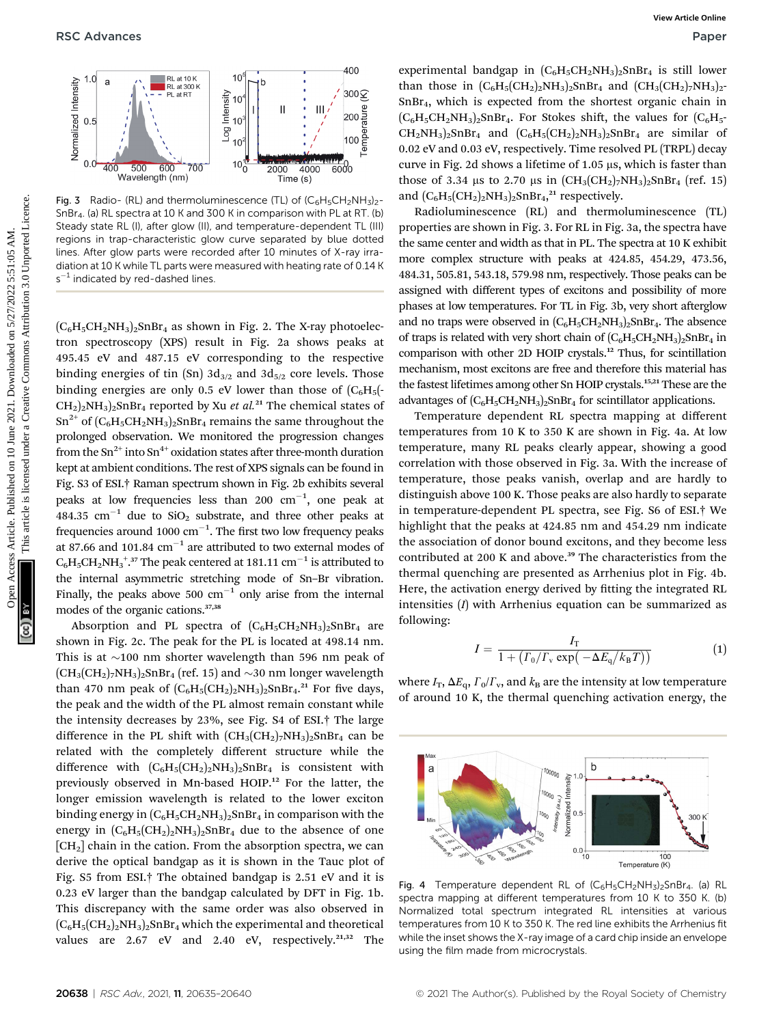

**Fig. 3** Radio- (RL) and thermoluminescence (TL) of  $(C_6H_5CH_2NH_3)$ SnBr4. (a) RL spectra at 10 K and 300 K in comparison with PL at RT. (b) Steady state RL (I), after glow (II), and temperature-dependent TL (III) regions in trap-characteristic glow curve separated by blue dotted lines. After glow parts were recorded after 10 minutes of X-ray irradiation at 10 K while TL parts were measured with heating rate of 0.14 K  $s^{-1}$  indicated by red-dashed lines.

 $(C_6H_5CH_2NH_3)_2SnBr_4$  as shown in Fig. 2. The X-ray photoelectron spectroscopy (XPS) result in Fig. 2a shows peaks at 495.45 eV and 487.15 eV corresponding to the respective binding energies of tin (Sn)  $3d_{3/2}$  and  $3d_{5/2}$  core levels. Those binding energies are only 0.5 eV lower than those of  $(C_6H_5(-))$  $\text{CH}_2$ <sub>2</sub>NH<sub>3</sub>)<sub>2</sub>SnBr<sub>4</sub> reported by Xu *et al.*<sup>21</sup> The chemical states of  $\text{Sn}^{2+}$  of  $(\text{C}_6\text{H}_5\text{CH}_2\text{NH}_3)_2\text{SnBr}_4$  remains the same throughout the prolonged observation. We monitored the progression changes from the  $\text{Sn}^{2+}$  into  $\text{Sn}^{4+}$  oxidation states after three-month duration kept at ambient conditions. The rest of XPS signals can be found in Fig. S3 of ESI.† Raman spectrum shown in Fig. 2b exhibits several peaks at low frequencies less than 200  $cm^{-1}$ , one peak at 484.35 cm<sup>-1</sup> due to  $SiO<sub>2</sub>$  substrate, and three other peaks at frequencies around 1000  $cm^{-1}$ . The first two low frequency peaks at 87.66 and 101.84  $cm^{-1}$  are attributed to two external modes of  $\text{C}_6\text{H}_5\text{CH}_2\text{NH}_3^{\text{ + 37}}$  The peak centered at 181.11  $\text{cm}^{-1}$  is attributed to the internal asymmetric stretching mode of Sn–Br vibration. Finally, the peaks above 500  $cm^{-1}$  only arise from the internal modes of the organic cations.37,38 **PSC** Advances Computer Commons Common Commons Common Commons Article is licensed under the common Commons Commons Commons Commons Commons Commons Commons Commons Commons Commons Commons Commons Commons Commons Commons Co

Absorption and PL spectra of  $(C_6H_5CH_2NH_3)_2SnBr_4$  are shown in Fig. 2c. The peak for the PL is located at 498.14 nm. This is at  $\sim$ 100 nm shorter wavelength than 596 nm peak of  $(CH_3(CH_2)$ <sub>7</sub>NH<sub>3</sub>)<sub>2</sub>SnBr<sub>4</sub> (ref. 15) and  $\sim$ 30 nm longer wavelength than 470 nm peak of  $(C_6H_5(CH_2)_2NH_3)_2SnBr_4.^{21}$  For five days, the peak and the width of the PL almost remain constant while the intensity decreases by 23%, see Fig. S4 of ESI.† The large difference in the PL shift with  $(CH_3(CH_2)_7NH_3)_2SnBr_4$  can be related with the completely different structure while the difference with  $(C_6H_5(CH_2)_2NH_3)_2SnBr_4$  is consistent with previously observed in Mn-based HOIP.<sup>12</sup> For the latter, the longer emission wavelength is related to the lower exciton binding energy in  $(C_6H_5CH_2NH_3)_2SnBr_4$  in comparison with the energy in  $(C_6H_5(CH_2)_2NH_3)_2SnBr_4$  due to the absence of one  $[CH<sub>2</sub>]$  chain in the cation. From the absorption spectra, we can derive the optical bandgap as it is shown in the Tauc plot of Fig. S5 from ESI.† The obtained bandgap is 2.51 eV and it is 0.23 eV larger than the bandgap calculated by DFT in Fig. 1b. This discrepancy with the same order was also observed in  $(C_6H_5(CH_2)_2NH_3)_2SnBr_4$  which the experimental and theoretical values are  $2.67$  eV and  $2.40$  eV, respectively.<sup>21,32</sup> The

experimental bandgap in  $(C_6H_5CH_2NH_3)_2SnBr_4$  is still lower than those in  $(C_6H_5(CH_2)_2NH_3)_2SnBr_4$  and  $(CH_3(CH_2)_7NH_3)_2$ - $SnBr<sub>4</sub>$ , which is expected from the shortest organic chain in  $(C_6H_5CH_2NH_3)_2SnBr_4$ . For Stokes shift, the values for  $(C_6H_5-R_5)$  $CH_2NH_3)_2SnBr_4$  and  $(C_6H_5(CH_2)_2NH_3)_2SnBr_4$  are similar of 0.02 eV and 0.03 eV, respectively. Time resolved PL (TRPL) decay curve in Fig. 2d shows a lifetime of  $1.05 \mu s$ , which is faster than those of 3.34 us to 2.70 us in  $(CH_3(CH_2)_7NH_3)_2SnBr_4$  (ref. 15) and  $(C_6H_5(CH_2)_2NH_3)_2SnBr_4$ ,<sup>21</sup> respectively.

Radioluminescence (RL) and thermoluminescence (TL) properties are shown in Fig. 3. For RL in Fig. 3a, the spectra have the same center and width as that in PL. The spectra at 10 K exhibit more complex structure with peaks at 424.85, 454.29, 473.56, 484.31, 505.81, 543.18, 579.98 nm, respectively. Those peaks can be assigned with different types of excitons and possibility of more phases at low temperatures. For TL in Fig. 3b, very short afterglow and no traps were observed in  $(C_6H_5CH_2NH_3)_2SnBr_4$ . The absence of traps is related with very short chain of  $(C_6H_5CH_2NH_3)_2SnBr_4$  in comparison with other 2D HOIP crystals.<sup>12</sup> Thus, for scintillation mechanism, most excitons are free and therefore this material has the fastest lifetimes among other Sn HOIP crystals.<sup>15,21</sup> These are the advantages of  $(C_6H_5CH_2NH_3)_2SnBr_4$  for scintillator applications.

Temperature dependent RL spectra mapping at different temperatures from 10 K to 350 K are shown in Fig. 4a. At low temperature, many RL peaks clearly appear, showing a good correlation with those observed in Fig. 3a. With the increase of temperature, those peaks vanish, overlap and are hardly to distinguish above 100 K. Those peaks are also hardly to separate in temperature-dependent PL spectra, see Fig. S6 of ESI.† We highlight that the peaks at 424.85 nm and 454.29 nm indicate the association of donor bound excitons, and they become less contributed at 200 K and above.<sup>39</sup> The characteristics from the thermal quenching are presented as Arrhenius plot in Fig. 4b. Here, the activation energy derived by fitting the integrated RL intensities  $(I)$  with Arrhenius equation can be summarized as following:

$$
I = \frac{I_{\rm T}}{1 + \left(\Gamma_0/\Gamma_{\rm v} \exp\left(-\Delta E_{\rm q}/k_{\rm B}T\right)\right)}\tag{1}
$$

where  $I_T$ ,  $\Delta E_q$ ,  $\Gamma_0/\Gamma_v$ , and  $k_B$  are the intensity at low temperature of around 10 K, the thermal quenching activation energy, the



Fig. 4 Temperature dependent RL of  $(C_6H_5CH_2NH_3)_2SnBr_4$ . (a) RL spectra mapping at different temperatures from 10 K to 350 K. (b) Normalized total spectrum integrated RL intensities at various temperatures from 10 K to 350 K. The red line exhibits the Arrhenius fit while the inset shows the X-ray image of a card chip inside an envelope using the film made from microcrystals.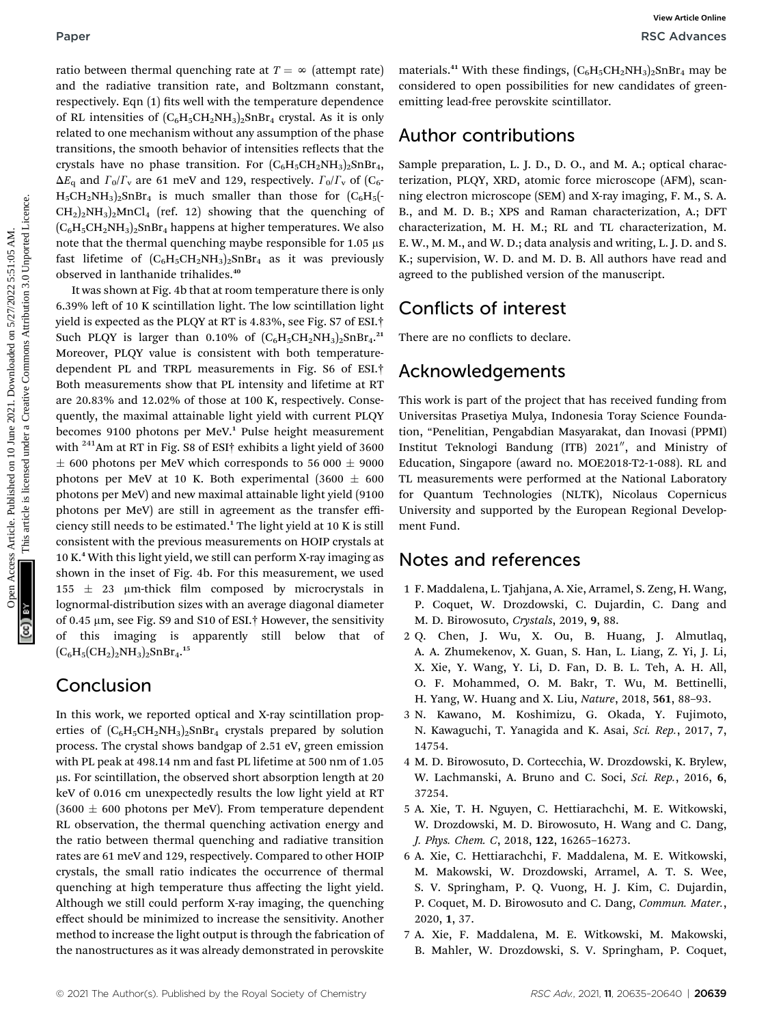ratio between thermal quenching rate at  $T = \infty$  (attempt rate) and the radiative transition rate, and Boltzmann constant, respectively. Eqn (1) fits well with the temperature dependence of RL intensities of  $(C_6H_5CH_2NH_3)_2SnBr_4$  crystal. As it is only related to one mechanism without any assumption of the phase transitions, the smooth behavior of intensities reflects that the crystals have no phase transition. For  $(C_6H_5CH_2NH_3)_2SnBr_4$ ,  $\Delta E_{q}$  and  $\Gamma_0/\Gamma_{v}$  are 61 meV and 129, respectively.  $\Gamma_0/\Gamma_{v}$  of (C<sub>6</sub>- $H_5CH_2NH_3)_2SnBr_4$  is much smaller than those for  $(C_6H_5(-))$  $CH<sub>2</sub>)<sub>2</sub>NH<sub>3</sub>)<sub>2</sub>MnCl<sub>4</sub>$  (ref. 12) showing that the quenching of  $(C_6H_5CH_2NH_3)_2SnBr_4$  happens at higher temperatures. We also note that the thermal quenching maybe responsible for  $1.05 \mu s$ fast lifetime of  $(C_6H_5CH_2NH_3)_2SnBr_4$  as it was previously observed in lanthanide trihalides.<sup>40</sup>

It was shown at Fig. 4b that at room temperature there is only 6.39% left of 10 K scintillation light. The low scintillation light yield is expected as the PLQY at RT is 4.83%, see Fig. S7 of ESI.† Such PLQY is larger than 0.10% of  $(C_6H_5CH_2NH_3)_2SnBr_4.21$ Moreover, PLQY value is consistent with both temperaturedependent PL and TRPL measurements in Fig. S6 of ESI.† Both measurements show that PL intensity and lifetime at RT are 20.83% and 12.02% of those at 100 K, respectively. Consequently, the maximal attainable light yield with current PLQY becomes 9100 photons per MeV.<sup>1</sup> Pulse height measurement with <sup>241</sup>Am at RT in Fig. S8 of ESI<sup>+</sup> exhibits a light yield of 3600  $\pm$  600 photons per MeV which corresponds to 56 000  $\pm$  9000 photons per MeV at 10 K. Both experimental (3600  $\pm$  600 photons per MeV) and new maximal attainable light yield (9100 photons per MeV) are still in agreement as the transfer efficiency still needs to be estimated.<sup>1</sup> The light yield at 10 K is still consistent with the previous measurements on HOIP crystals at 10 K.<sup>4</sup> With this light yield, we still can perform X-ray imaging as shown in the inset of Fig. 4b. For this measurement, we used  $155 \pm 23$  µm-thick film composed by microcrystals in lognormal-distribution sizes with an average diagonal diameter of 0.45 µm, see Fig. S9 and S10 of ESI.<sup>†</sup> However, the sensitivity of this imaging is apparently still below that of  $(C_6H_5(CH_2)_2NH_3)_2SnBr_4.^{15}$ **Paper**<br> **Pack diverse internal quenching mir at**  $T = \lambda$  **(atempt nair consistent to one prossimites for most one of the minimal consistent of the minimal consistent on the prossimites for most of the minimal consistent of** 

### Conclusion

In this work, we reported optical and X-ray scintillation properties of  $(C_6H_5CH_2NH_3)_2SnBr_4$  crystals prepared by solution process. The crystal shows bandgap of 2.51 eV, green emission with PL peak at 498.14 nm and fast PL lifetime at 500 nm of 1.05  $\mu$ s. For scintillation, the observed short absorption length at 20 keV of 0.016 cm unexpectedly results the low light yield at RT  $(3600 \pm 600)$  photons per MeV). From temperature dependent RL observation, the thermal quenching activation energy and the ratio between thermal quenching and radiative transition rates are 61 meV and 129, respectively. Compared to other HOIP crystals, the small ratio indicates the occurrence of thermal quenching at high temperature thus affecting the light yield. Although we still could perform X-ray imaging, the quenching effect should be minimized to increase the sensitivity. Another method to increase the light output is through the fabrication of the nanostructures as it was already demonstrated in perovskite

materials.<sup>41</sup> With these findings,  $(C_6H_5CH_2NH_3)_2SnBr_4$  may be considered to open possibilities for new candidates of greenemitting lead-free perovskite scintillator.

### Author contributions

Sample preparation, L. J. D., D. O., and M. A.; optical characterization, PLQY, XRD, atomic force microscope (AFM), scanning electron microscope (SEM) and X-ray imaging, F. M., S. A. B., and M. D. B.; XPS and Raman characterization, A.; DFT characterization, M. H. M.; RL and TL characterization, M. E. W., M. M., and W. D.; data analysis and writing, L. J. D. and S. K.; supervision, W. D. and M. D. B. All authors have read and agreed to the published version of the manuscript.

### Conflicts of interest

There are no conflicts to declare.

### Acknowledgements

This work is part of the project that has received funding from Universitas Prasetiya Mulya, Indonesia Toray Science Foundation, "Penelitian, Pengabdian Masyarakat, dan Inovasi (PPMI) Institut Teknologi Bandung (ITB) 2021", and Ministry of Education, Singapore (award no. MOE2018-T2-1-088). RL and TL measurements were performed at the National Laboratory for Quantum Technologies (NLTK), Nicolaus Copernicus University and supported by the European Regional Development Fund.

### Notes and references

- 1 F. Maddalena, L. Tjahjana, A. Xie, Arramel, S. Zeng, H. Wang, P. Coquet, W. Drozdowski, C. Dujardin, C. Dang and M. D. Birowosuto, Crystals, 2019, 9, 88.
- 2 Q. Chen, J. Wu, X. Ou, B. Huang, J. Almutlaq, A. A. Zhumekenov, X. Guan, S. Han, L. Liang, Z. Yi, J. Li, X. Xie, Y. Wang, Y. Li, D. Fan, D. B. L. Teh, A. H. All,
	- O. F. Mohammed, O. M. Bakr, T. Wu, M. Bettinelli,
	- H. Yang, W. Huang and X. Liu, Nature, 2018, 561, 88–93.
- 3 N. Kawano, M. Koshimizu, G. Okada, Y. Fujimoto, N. Kawaguchi, T. Yanagida and K. Asai, Sci. Rep., 2017, 7, 14754.
- 4 M. D. Birowosuto, D. Cortecchia, W. Drozdowski, K. Brylew, W. Lachmanski, A. Bruno and C. Soci, Sci. Rep., 2016, 6, 37254.
- 5 A. Xie, T. H. Nguyen, C. Hettiarachchi, M. E. Witkowski, W. Drozdowski, M. D. Birowosuto, H. Wang and C. Dang, J. Phys. Chem. C, 2018, 122, 16265–16273.
- 6 A. Xie, C. Hettiarachchi, F. Maddalena, M. E. Witkowski, M. Makowski, W. Drozdowski, Arramel, A. T. S. Wee, S. V. Springham, P. Q. Vuong, H. J. Kim, C. Dujardin, P. Coquet, M. D. Birowosuto and C. Dang, Commun. Mater., 2020, 1, 37.
- 7 A. Xie, F. Maddalena, M. E. Witkowski, M. Makowski, B. Mahler, W. Drozdowski, S. V. Springham, P. Coquet,